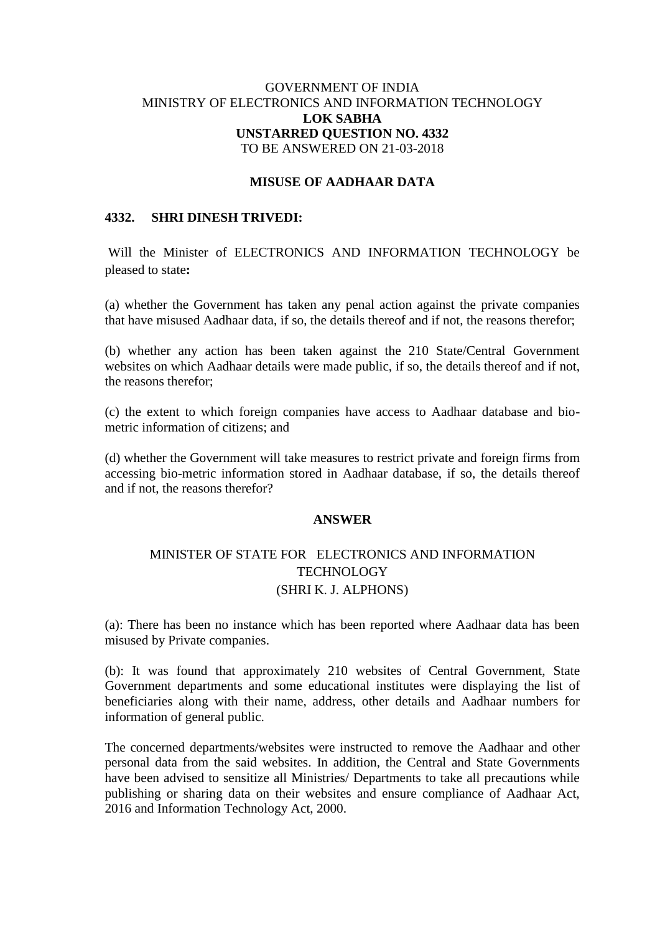### GOVERNMENT OF INDIA MINISTRY OF ELECTRONICS AND INFORMATION TECHNOLOGY **LOK SABHA UNSTARRED QUESTION NO. 4332** TO BE ANSWERED ON 21-03-2018

#### **MISUSE OF AADHAAR DATA**

## **4332. SHRI DINESH TRIVEDI:**

Will the Minister of ELECTRONICS AND INFORMATION TECHNOLOGY be pleased to state**:**

(a) whether the Government has taken any penal action against the private companies that have misused Aadhaar data, if so, the details thereof and if not, the reasons therefor;

(b) whether any action has been taken against the 210 State/Central Government websites on which Aadhaar details were made public, if so, the details thereof and if not, the reasons therefor;

(c) the extent to which foreign companies have access to Aadhaar database and biometric information of citizens; and

(d) whether the Government will take measures to restrict private and foreign firms from accessing bio-metric information stored in Aadhaar database, if so, the details thereof and if not, the reasons therefor?

#### **ANSWER**

# MINISTER OF STATE FOR ELECTRONICS AND INFORMATION **TECHNOLOGY** (SHRI K. J. ALPHONS)

(a): There has been no instance which has been reported where Aadhaar data has been misused by Private companies.

(b): It was found that approximately 210 websites of Central Government, State Government departments and some educational institutes were displaying the list of beneficiaries along with their name, address, other details and Aadhaar numbers for information of general public.

The concerned departments/websites were instructed to remove the Aadhaar and other personal data from the said websites. In addition, the Central and State Governments have been advised to sensitize all Ministries/ Departments to take all precautions while publishing or sharing data on their websites and ensure compliance of Aadhaar Act, 2016 and Information Technology Act, 2000.